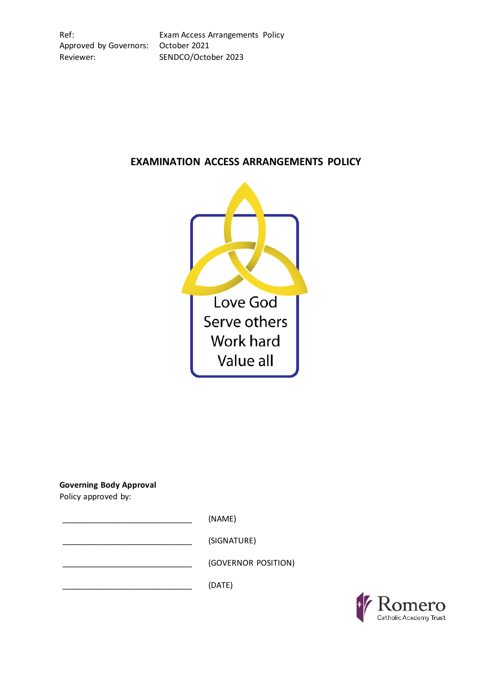# **EXAMINATION ACCESS ARRANGEMENTS POLICY**



**Governing Body Approval**

Policy approved by:

\_\_\_\_\_\_\_\_\_\_\_\_\_\_\_\_\_\_\_\_\_\_\_\_\_\_\_\_\_ (NAME)

\_\_\_\_\_\_\_\_\_\_\_\_\_\_\_\_\_\_\_\_\_\_\_\_\_\_\_\_\_ (SIGNATURE)

\_\_\_\_\_\_\_\_\_\_\_\_\_\_\_\_\_\_\_\_\_\_\_\_\_\_\_\_\_ (GOVERNOR POSITION)

 $(DATE)$ 

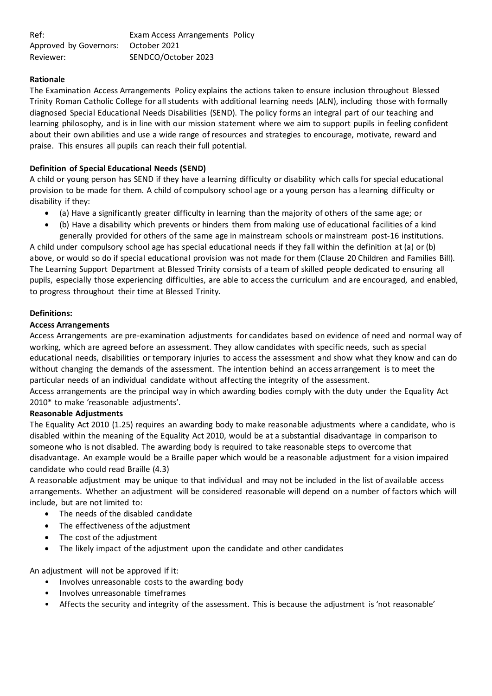| Ref:                                | Exam Access Arrangements Policy |  |
|-------------------------------------|---------------------------------|--|
| Approved by Governors: October 2021 |                                 |  |
| Reviewer:                           | SENDCO/October 2023             |  |

# **Rationale**

The Examination Access Arrangements Policy explains the actions taken to ensure inclusion throughout Blessed Trinity Roman Catholic College for all students with additional learning needs (ALN), including those with formally diagnosed Special Educational Needs Disabilities (SEND). The policy forms an integral part of our teaching and learning philosophy, and is in line with our mission statement where we aim to support pupils in feeling confident about their own abilities and use a wide range of resources and strategies to encourage, motivate, reward and praise. This ensures all pupils can reach their full potential.

# **Definition of Special Educational Needs (SEND)**

A child or young person has SEND if they have a learning difficulty or disability which calls for special educational provision to be made for them. A child of compulsory school age or a young person has a learning difficulty or disability if they:

- (a) Have a significantly greater difficulty in learning than the majority of others of the same age; or
- (b) Have a disability which prevents or hinders them from making use of educational facilities of a kind generally provided for others of the same age in mainstream schools or mainstream post‐16 institutions.

A child under compulsory school age has special educational needs if they fall within the definition at (a) or (b) above, or would so do if special educational provision was not made for them (Clause 20 Children and Families Bill). The Learning Support Department at Blessed Trinity consists of a team of skilled people dedicated to ensuring all pupils, especially those experiencing difficulties, are able to access the curriculum and are encouraged, and enabled, to progress throughout their time at Blessed Trinity.

#### **Definitions:**

#### **Access Arrangements**

Access Arrangements are pre-examination adjustments for candidates based on evidence of need and normal way of working, which are agreed before an assessment. They allow candidates with specific needs, such as special educational needs, disabilities or temporary injuries to access the assessment and show what they know and can do without changing the demands of the assessment. The intention behind an access arrangement is to meet the particular needs of an individual candidate without affecting the integrity of the assessment.

Access arrangements are the principal way in which awarding bodies comply with the duty under the Equality Act 2010\* to make 'reasonable adjustments'.

#### **Reasonable Adjustments**

The Equality Act 2010 (1.25) requires an awarding body to make reasonable adjustments where a candidate, who is disabled within the meaning of the Equality Act 2010, would be at a substantial disadvantage in comparison to someone who is not disabled. The awarding body is required to take reasonable steps to overcome that disadvantage. An example would be a Braille paper which would be a reasonable adjustment for a vision impaired candidate who could read Braille (4.3)

A reasonable adjustment may be unique to that individual and may not be included in the list of available access arrangements. Whether an adjustment will be considered reasonable will depend on a number of factors which will include, but are not limited to:

- The needs of the disabled candidate
- The effectiveness of the adjustment
- The cost of the adjustment
- The likely impact of the adjustment upon the candidate and other candidates

An adjustment will not be approved if it:

- Involves unreasonable costs to the awarding body
- Involves unreasonable timeframes
- Affects the security and integrity of the assessment. This is because the adjustment is 'not reasonable'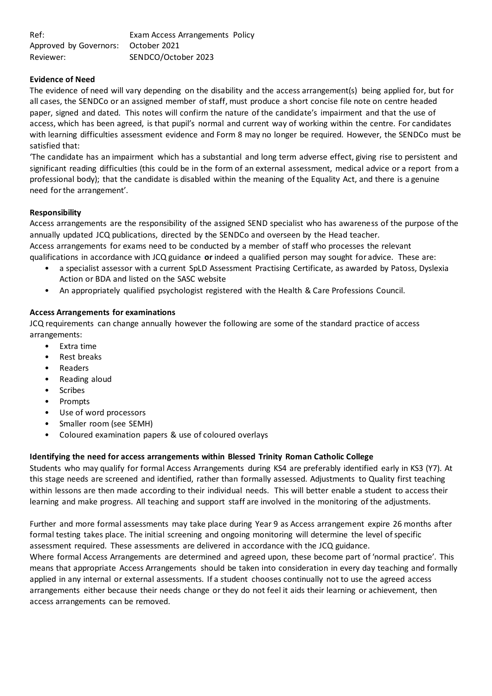| Ref:                                | Exam Access Arrangements Policy |  |
|-------------------------------------|---------------------------------|--|
| Approved by Governors: October 2021 |                                 |  |
| Reviewer:                           | SENDCO/October 2023             |  |

# **Evidence of Need**

The evidence of need will vary depending on the disability and the access arrangement(s) being applied for, but for all cases, the SENDCo or an assigned member of staff, must produce a short concise file note on centre headed paper, signed and dated. This notes will confirm the nature of the candidate's impairment and that the use of access, which has been agreed, is that pupil's normal and current way of working within the centre. For candidates with learning difficulties assessment evidence and Form 8 may no longer be required. However, the SENDCo must be satisfied that:

'The candidate has an impairment which has a substantial and long term adverse effect, giving rise to persistent and significant reading difficulties (this could be in the form of an external assessment, medical advice or a report from a professional body); that the candidate is disabled within the meaning of the Equality Act, and there is a genuine need for the arrangement'.

# **Responsibility**

Access arrangements are the responsibility of the assigned SEND specialist who has awareness of the purpose of the annually updated JCQ publications, directed by the SENDCo and overseen by the Head teacher. Access arrangements for exams need to be conducted by a member of staff who processes the relevant qualifications in accordance with JCQ guidance **or** indeed a qualified person may sought for advice. These are:

- a specialist assessor with a current SpLD Assessment Practising Certificate, as awarded by Patoss, Dyslexia Action or BDA and listed on the SASC website
- An appropriately qualified psychologist registered with the Health & Care Professions Council.

# **Access Arrangements for examinations**

JCQ requirements can change annually however the following are some of the standard practice of access arrangements:

- Extra time
- Rest breaks
- Readers
- Reading aloud
- **Scribes**
- Prompts
- Use of word processors
- Smaller room (see SEMH)
- Coloured examination papers & use of coloured overlays

# **Identifying the need for access arrangements within Blessed Trinity Roman Catholic College**

Students who may qualify for formal Access Arrangements during KS4 are preferably identified early in KS3 (Y7). At this stage needs are screened and identified, rather than formally assessed. Adjustments to Quality first teaching within lessons are then made according to their individual needs. This will better enable a student to access their learning and make progress. All teaching and support staff are involved in the monitoring of the adjustments.

Further and more formal assessments may take place during Year 9 as Access arrangement expire 26 months after formal testing takes place. The initial screening and ongoing monitoring will determine the level of specific assessment required. These assessments are delivered in accordance with the JCQ guidance.

Where formal Access Arrangements are determined and agreed upon, these become part of 'normal practice'. This means that appropriate Access Arrangements should be taken into consideration in every day teaching and formally applied in any internal or external assessments. If a student chooses continually not to use the agreed access arrangements either because their needs change or they do not feel it aids their learning or achievement, then access arrangements can be removed.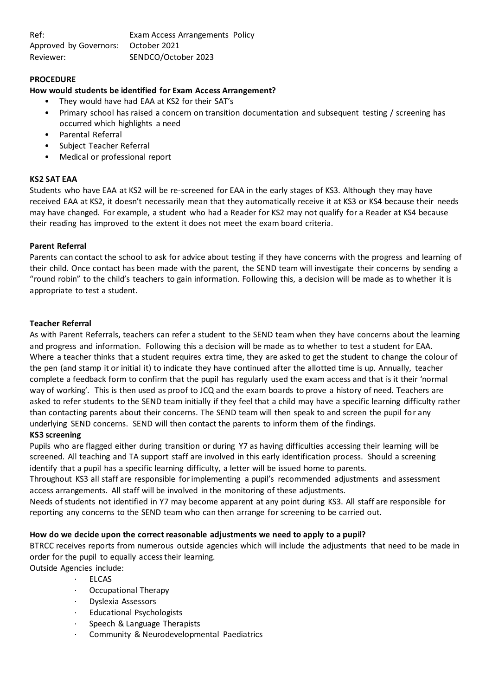### **PROCEDURE**

### **How would students be identified for Exam Access Arrangement?**

- They would have had EAA at KS2 for their SAT's
- Primary school has raised a concern on transition documentation and subsequent testing / screening has occurred which highlights a need
- Parental Referral
- Subject Teacher Referral
- Medical or professional report

#### **KS2 SAT EAA**

Students who have EAA at KS2 will be re-screened for EAA in the early stages of KS3. Although they may have received EAA at KS2, it doesn't necessarily mean that they automatically receive it at KS3 or KS4 because their needs may have changed. For example, a student who had a Reader for KS2 may not qualify for a Reader at KS4 because their reading has improved to the extent it does not meet the exam board criteria.

#### **Parent Referral**

Parents can contact the school to ask for advice about testing if they have concerns with the progress and learning of their child. Once contact has been made with the parent, the SEND team will investigate their concerns by sending a "round robin" to the child's teachers to gain information. Following this, a decision will be made as to whether it is appropriate to test a student.

#### **Teacher Referral**

As with Parent Referrals, teachers can refer a student to the SEND team when they have concerns about the learning and progress and information. Following this a decision will be made as to whether to test a student for EAA. Where a teacher thinks that a student requires extra time, they are asked to get the student to change the colour of the pen (and stamp it or initial it) to indicate they have continued after the allotted time is up. Annually, teacher complete a feedback form to confirm that the pupil has regularly used the exam access and that is it their 'normal way of working'. This is then used as proof to JCQ and the exam boards to prove a history of need. Teachers are asked to refer students to the SEND team initially if they feel that a child may have a specific learning difficulty rather than contacting parents about their concerns. The SEND team will then speak to and screen the pupil for any underlying SEND concerns. SEND will then contact the parents to inform them of the findings.

### **KS3 screening**

Pupils who are flagged either during transition or during Y7 as having difficulties accessing their learning will be screened. All teaching and TA support staff are involved in this early identification process. Should a screening identify that a pupil has a specific learning difficulty, a letter will be issued home to parents.

Throughout KS3 all staff are responsible for implementing a pupil's recommended adjustments and assessment access arrangements. All staff will be involved in the monitoring of these adjustments.

Needs of students not identified in Y7 may become apparent at any point during KS3. All staff are responsible for reporting any concerns to the SEND team who can then arrange for screening to be carried out.

#### **How do we decide upon the correct reasonable adjustments we need to apply to a pupil?**

BTRCC receives reports from numerous outside agencies which will include the adjustments that need to be made in order for the pupil to equally access their learning.

- Outside Agencies include:
	- **ELCAS**
	- Occupational Therapy
	- · Dyslexia Assessors
	- · Educational Psychologists
	- Speech & Language Therapists
	- Community & Neurodevelopmental Paediatrics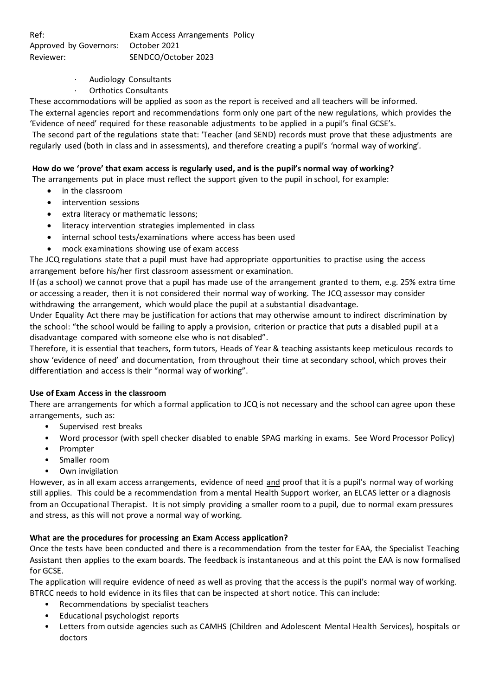- · Audiology Consultants
- · Orthotics Consultants

These accommodations will be applied as soon as the report is received and all teachers will be informed.

The external agencies report and recommendations form only one part of the new regulations, which provides the 'Evidence of need' required for these reasonable adjustments to be applied in a pupil's final GCSE's.

The second part of the regulations state that: 'Teacher (and SEND) records must prove that these adjustments are regularly used (both in class and in assessments), and therefore creating a pupil's 'normal way of working'.

# **How do we 'prove' that exam access is regularly used, and is the pupil's normal way of working?**

The arrangements put in place must reflect the support given to the pupil in school, for example:

- in the classroom
- intervention sessions
- extra literacy or mathematic lessons;
- literacy intervention strategies implemented in class
- internal school tests/examinations where access has been used
- mock examinations showing use of exam access

The JCQ regulations state that a pupil must have had appropriate opportunities to practise using the access arrangement before his/her first classroom assessment or examination.

If (as a school) we cannot prove that a pupil has made use of the arrangement granted to them, e.g. 25% extra time or accessing a reader, then it is not considered their normal way of working. The JCQ assessor may consider withdrawing the arrangement, which would place the pupil at a substantial disadvantage.

Under Equality Act there may be justification for actions that may otherwise amount to indirect discrimination by the school: "the school would be failing to apply a provision, criterion or practice that puts a disabled pupil at a disadvantage compared with someone else who is not disabled".

Therefore, it is essential that teachers, form tutors, Heads of Year & teaching assistants keep meticulous records to show 'evidence of need' and documentation, from throughout their time at secondary school, which proves their differentiation and access is their "normal way of working".

#### **Use of Exam Access in the classroom**

There are arrangements for which a formal application to JCQ is not necessary and the school can agree upon these arrangements, such as:

- Supervised rest breaks
- Word processor (with spell checker disabled to enable SPAG marking in exams. See Word Processor Policy)
- Prompter
- Smaller room
- Own invigilation

However, as in all exam access arrangements, evidence of need and proof that it is a pupil's normal way of working still applies. This could be a recommendation from a mental Health Support worker, an ELCAS letter or a diagnosis from an Occupational Therapist. It is not simply providing a smaller room to a pupil, due to normal exam pressures and stress, as this will not prove a normal way of working.

# **What are the procedures for processing an Exam Access application?**

Once the tests have been conducted and there is a recommendation from the tester for EAA, the Specialist Teaching Assistant then applies to the exam boards. The feedback is instantaneous and at this point the EAA is now formalised for GCSE.

The application will require evidence of need as well as proving that the access is the pupil's normal way of working. BTRCC needs to hold evidence in its files that can be inspected at short notice. This can include:

- Recommendations by specialist teachers
- Educational psychologist reports
- Letters from outside agencies such as CAMHS (Children and Adolescent Mental Health Services), hospitals or doctors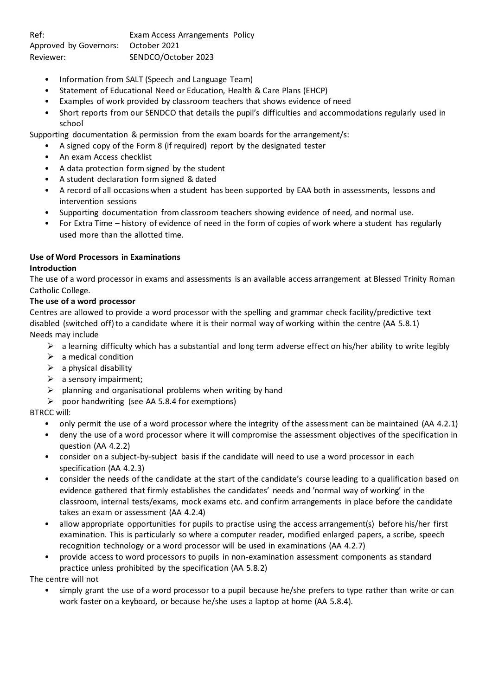- Information from SALT (Speech and Language Team)
- Statement of Educational Need or Education, Health & Care Plans (EHCP)
- Examples of work provided by classroom teachers that shows evidence of need
- Short reports from our SENDCO that details the pupil's difficulties and accommodations regularly used in school

Supporting documentation & permission from the exam boards for the arrangement/s:

- A signed copy of the Form 8 (if required) report by the designated tester
- An exam Access checklist
- A data protection form signed by the student
- A student declaration form signed & dated
- A record of all occasions when a student has been supported by EAA both in assessments, lessons and intervention sessions
- Supporting documentation from classroom teachers showing evidence of need, and normal use.
- For Extra Time history of evidence of need in the form of copies of work where a student has regularly used more than the allotted time.

# **Use of Word Processors in Examinations**

# **Introduction**

The use of a word processor in exams and assessments is an available access arrangement at Blessed Trinity Roman Catholic College.

# **The use of a word processor**

Centres are allowed to provide a word processor with the spelling and grammar check facility/predictive text disabled (switched off) to a candidate where it is their normal way of working within the centre (AA 5.8.1) Needs may include

- $\triangleright$  a learning difficulty which has a substantial and long term adverse effect on his/her ability to write legibly
- $\triangleright$  a medical condition
- $\triangleright$  a physical disability
- $\triangleright$  a sensory impairment;
- $\triangleright$  planning and organisational problems when writing by hand
- $\triangleright$  poor handwriting (see AA 5.8.4 for exemptions)

# BTRCC will:

- only permit the use of a word processor where the integrity of the assessment can be maintained (AA 4.2.1)
- deny the use of a word processor where it will compromise the assessment objectives of the specification in question (AA 4.2.2)
- consider on a subject-by-subject basis if the candidate will need to use a word processor in each specification (AA 4.2.3)
- consider the needs of the candidate at the start of the candidate's course leading to a qualification based on evidence gathered that firmly establishes the candidates' needs and 'normal way of working' in the classroom, internal tests/exams, mock exams etc. and confirm arrangements in place before the candidate takes an exam or assessment (AA 4.2.4)
- allow appropriate opportunities for pupils to practise using the access arrangement(s) before his/her first examination. This is particularly so where a computer reader, modified enlarged papers, a scribe, speech recognition technology or a word processor will be used in examinations (AA 4.2.7)
- provide access to word processors to pupils in non-examination assessment components as standard practice unless prohibited by the specification (AA 5.8.2)

The centre will not

• simply grant the use of a word processor to a pupil because he/she prefers to type rather than write or can work faster on a keyboard, or because he/she uses a laptop at home (AA 5.8.4).